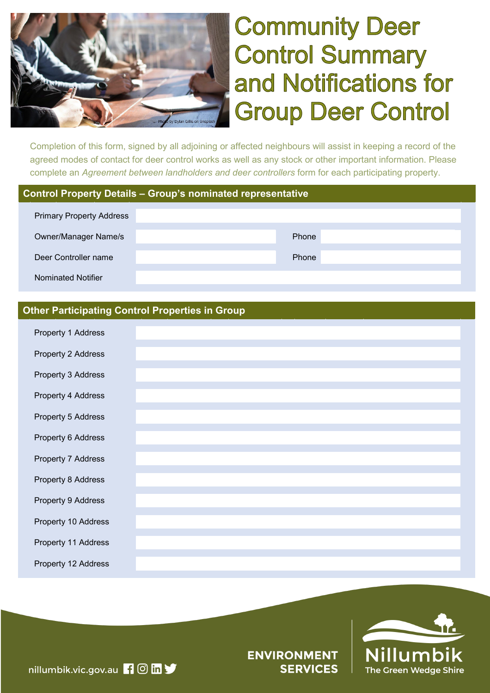

# **Community Deer Control Summary** and Notifications for **Group Deer Control**

Completion of this form, signed by all adjoining or affected neighbours will assist in keeping a record of the agreed modes of contact for deer control works as well as any stock or other important information. Please complete an *Agreement between landholders and deer controllers* form for each participating property.

## **Control Property Details – Group's nominated representative**

| <b>Primary Property Address</b> |       |  |  |  |
|---------------------------------|-------|--|--|--|
| <b>Owner/Manager Name/s</b>     | Phone |  |  |  |
| Deer Controller name            | Phone |  |  |  |
| Nominated Notifier              |       |  |  |  |

## **Other Participating Control Properties in Group**

| Property 1 Address  |  |
|---------------------|--|
| Property 2 Address  |  |
| Property 3 Address  |  |
| Property 4 Address  |  |
| Property 5 Address  |  |
| Property 6 Address  |  |
| Property 7 Address  |  |
| Property 8 Address  |  |
| Property 9 Address  |  |
| Property 10 Address |  |
| Property 11 Address |  |
| Property 12 Address |  |



**ENVIRONMENT SERVICES** 

nillumbik.vic.gov.au **1 0 m y**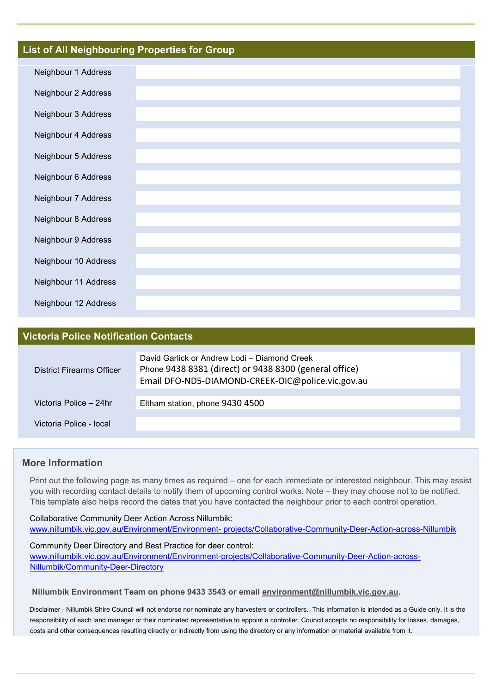### **List of All Neighbouring Properties for Group**

| Neighbour 1 Address  |  |
|----------------------|--|
| Neighbour 2 Address  |  |
| Neighbour 3 Address  |  |
| Neighbour 4 Address  |  |
| Neighbour 5 Address  |  |
| Neighbour 6 Address  |  |
| Neighbour 7 Address  |  |
| Neighbour 8 Address  |  |
| Neighbour 9 Address  |  |
| Neighbour 10 Address |  |
| Neighbour 11 Address |  |
| Neighbour 12 Address |  |

### **Victoria Police Notification Contacts**

| <b>District Firearms Officer</b> | David Garlick or Andrew Lodi - Diamond Creek<br>Phone 9438 8381 (direct) or 9438 8300 (general office)<br>Email DFO-ND5-DIAMOND-CREEK-OIC@police.vic.gov.au |  |  |
|----------------------------------|-------------------------------------------------------------------------------------------------------------------------------------------------------------|--|--|
| Victoria Police – 24hr           | Eltham station, phone 9430 4500                                                                                                                             |  |  |
| Victoria Police - local          |                                                                                                                                                             |  |  |

### **More Information**

 Print out the following page as many times as required – one for each immediate or interested neighbour. This may assist you with recording contact details to notify them of upcoming control works. Note – they may choose not to be notified. This template also helps record the dates that you have contacted the neighbour prior to each control operation.

 Collaborative Community Deer Action Across Nillumbik: www.nillumbik.vic.gov.au/Environment/Environment- [projects/Collaborative-Community-Deer-Action-across-Nillumbik](http://www.nillumbik.vic.gov.au/Environment/Environment-%20projects/Collaborative-Community-Deer-Action-across-Nillumbik)

 Community Deer Directory and Best Practice for deer control: [www.nillumbik.vic.gov.au/Environment/Environment-projects/Collaborative-Community-Deer-Action-across-](https://www.nillumbik.vic.gov.au/Environment/Environment-projects/Collaborative-Community-Deer-Action-across-Nillumbik/Community-Deer-Directory)[Nillumbik/Community-Deer-Directory](https://www.nillumbik.vic.gov.au/Environment/Environment-projects/Collaborative-Community-Deer-Action-across-Nillumbik/Community-Deer-Directory)

#### **Nillumbik Environment Team on phone 9433 3543 or email [environment@nillumbik.vic.gov.au.](mailto:environment@nillumbik.vic.gov.au)**

 Disclaimer - Nillumbik Shire Council will not endorse nor nominate any harvesters or controllers. This information is intended as a Guide only. It is the responsibility of each land manager or their nominated representative to appoint a controller. Council accepts no responsibility for losses, damages, costs and other consequences resulting directly or indirectly from using the directory or any information or material available from it.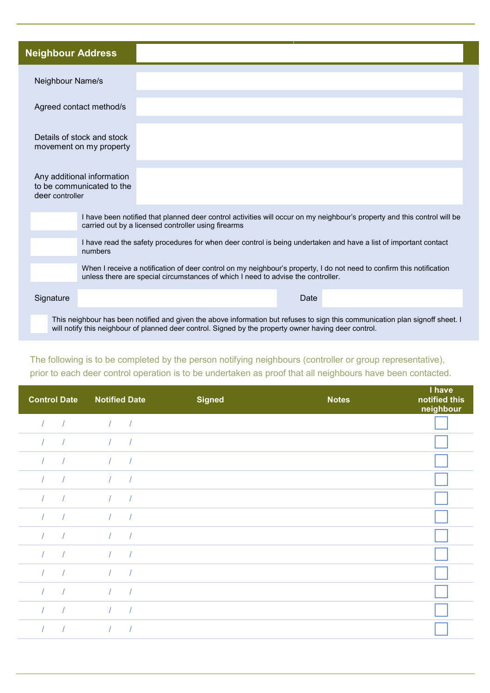| <b>Neighbour Address</b>                                                   |                                                                                                                                                                                                                                                                                                                                         |  |  |  |
|----------------------------------------------------------------------------|-----------------------------------------------------------------------------------------------------------------------------------------------------------------------------------------------------------------------------------------------------------------------------------------------------------------------------------------|--|--|--|
| Neighbour Name/s                                                           |                                                                                                                                                                                                                                                                                                                                         |  |  |  |
| Agreed contact method/s                                                    |                                                                                                                                                                                                                                                                                                                                         |  |  |  |
| Details of stock and stock<br>movement on my property                      |                                                                                                                                                                                                                                                                                                                                         |  |  |  |
| Any additional information<br>to be communicated to the<br>deer controller |                                                                                                                                                                                                                                                                                                                                         |  |  |  |
|                                                                            | I have been notified that planned deer control activities will occur on my neighbour's property and this control will be<br>carried out by a licensed controller using firearms                                                                                                                                                         |  |  |  |
|                                                                            | I have read the safety procedures for when deer control is being undertaken and have a list of important contact<br>numbers<br>When I receive a notification of deer control on my neighbour's property, I do not need to confirm this notification<br>unless there are special circumstances of which I need to advise the controller. |  |  |  |
|                                                                            |                                                                                                                                                                                                                                                                                                                                         |  |  |  |
| Signature                                                                  | Date                                                                                                                                                                                                                                                                                                                                    |  |  |  |
|                                                                            | This neighbour has been notified and given the above information but refuses to sign this communication plan signoff sheet. I                                                                                                                                                                                                           |  |  |  |

## The following is to be completed by the person notifying neighbours (controller or group representative), prior to each deer control operation is to be undertaken as proof that all neighbours have been contacted.

will notify this neighbour of planned deer control. Signed by the property owner having deer control.

| <b>Control Date</b> |            | <b>Notified Date</b>        |            | <b>Signed</b> | <b>Notes</b> | I have<br>notified this<br>neighbour |
|---------------------|------------|-----------------------------|------------|---------------|--------------|--------------------------------------|
|                     | $\sqrt{ }$ | $\frac{1}{2}$ $\frac{1}{2}$ |            |               |              |                                      |
| $\prime$            |            | $\sqrt{2}$                  |            |               |              |                                      |
|                     |            | $\sqrt{ }$                  |            |               |              |                                      |
|                     |            | $\prime$                    |            |               |              |                                      |
|                     | $\sqrt{ }$ | $\sqrt{2}$                  | $\sqrt{ }$ |               |              |                                      |
| $\prime$            | $\sqrt{ }$ | $\sqrt{2}$                  | $\sqrt{ }$ |               |              |                                      |
|                     |            | $\sqrt{2}$                  |            |               |              |                                      |
|                     |            |                             |            |               |              |                                      |
|                     |            | $\sqrt{ }$                  |            |               |              |                                      |
|                     | $\sqrt{ }$ | $\sqrt{ }$                  | $\sqrt{ }$ |               |              |                                      |
|                     |            | $\sqrt{2}$                  |            |               |              |                                      |
|                     |            |                             |            |               |              |                                      |
|                     |            |                             |            |               |              |                                      |